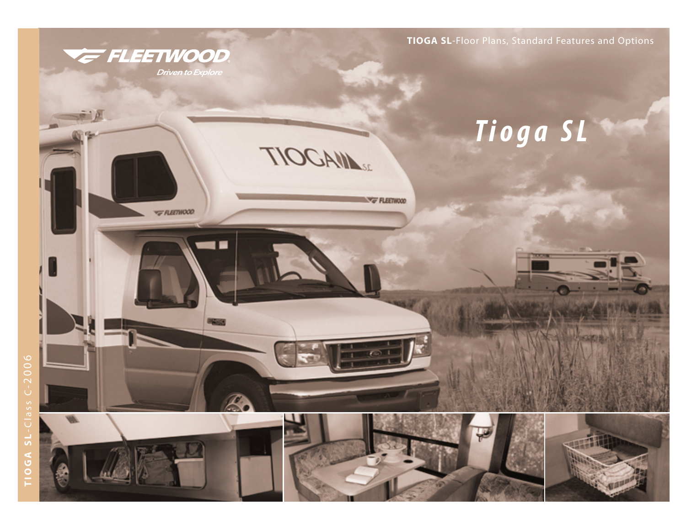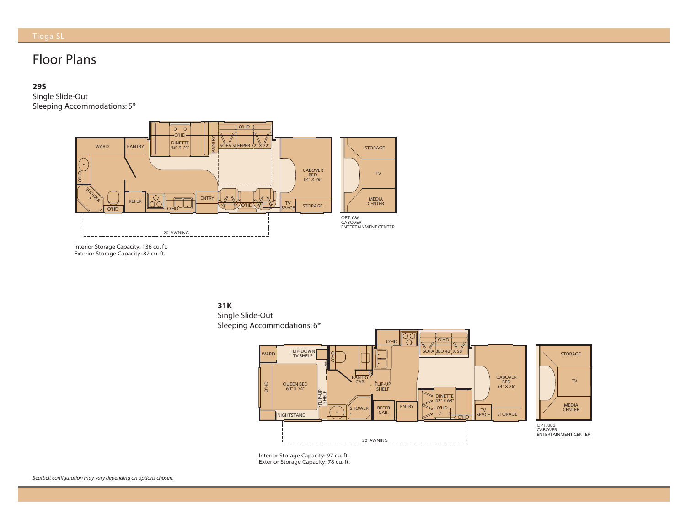# Floor Plans

## **29S**

Single Slide-Out Sleeping Accommodations: 5\*



Interior Storage Capacity: 136 cu. ft. xterior Storage Capacity. 82 Interior Storage Capacity: 136 cu. ft. Exterior Storage Capacity: 82 cu. ft.





nterior Storage Capacity: 97 Exterior Storage Capacity: 78 Interior Storage Capacity: 97 cu. ft. Exterior Storage Capacity: 78 cu. ft.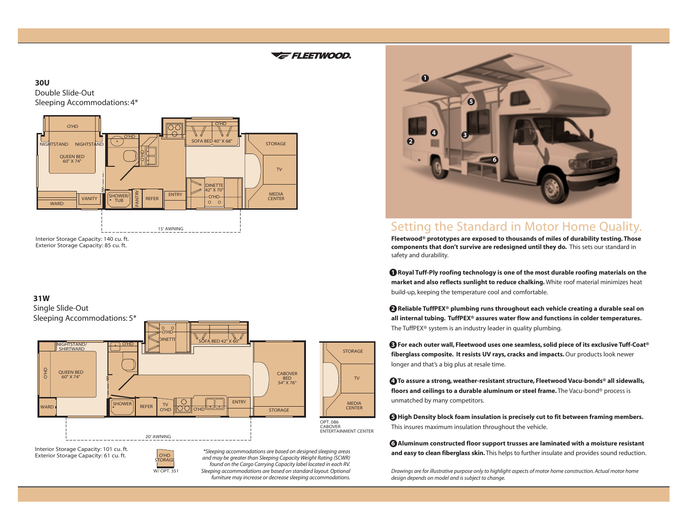## F FLEETWOOD.

## **30U**

Double Slide-Out Sleeping Accommodations: 4\*



## **31W**



Interior Storage Capacity: 101 cu. ft. Interior Storage Capacity: 101 cu. ft. Exterior Storage Capacity: 61 cu. ft. Exterior Storage Capacity: 61 cu. ft.



*\*Sleeping accommodations are based on designed sleeping areas and may be greater than Sleeping Capacity Weight Rating (SCWR) found on the Cargo Carrying Capacity label located in each RV. Sleeping accommodations are based on standard layout. Optional furniture may increase or decrease sleeping accommodations.*

**STORAGE** 

MEDIA **CENTER** 

 $T<sub>1</sub>$ 



## Setting the Standard in Motor Home Quality.

**Fleetwood® prototypes are exposed to thousands of miles of durability testing. Those components that don't survive are redesigned until they do.** This sets our standard in safety and durability.

**<sup>1</sup> Royal Tuff-Ply roofing technology is one of the most durable roofing materials on the market and also reflects sunlight to reduce chalking.** White roof material minimizes heat build-up, keeping the temperature cool and comfortable.

**2 Reliable TuffPEX® plumbing runs throughout each vehicle creating a durable seal on all internal tubing. TuffPEX® assures water flow and functions in colder temperatures.** The TuffPEX® system is an industry leader in quality plumbing.

**3 For each outer wall, Fleetwood uses one seamless, solid piece of its exclusive Tuff-Coat® fiberglass composite. It resists UV rays, cracks and impacts.**Our products look newer longer and that's a big plus at resale time.

**4 To assure a strong, weather-resistant structure, Fleetwood Vacu-bonds® all sidewalls, floors and ceilings to a durable aluminum or steel frame.** The Vacu-bond® process is unmatched by many competitors.

**5 High Density block foam insulation is precisely cut to fit between framing members.** This insures maximum insulation throughout the vehicle.

**6 Aluminum constructed floor support trusses are laminated with a moisture resistant and easy to clean fiberglass skin.** This helps to further insulate and provides sound reduction.

*Drawings are for illustrative purpose only to highlight aspects of motor home construction. Actual motor home design depends on model and is subject to change.*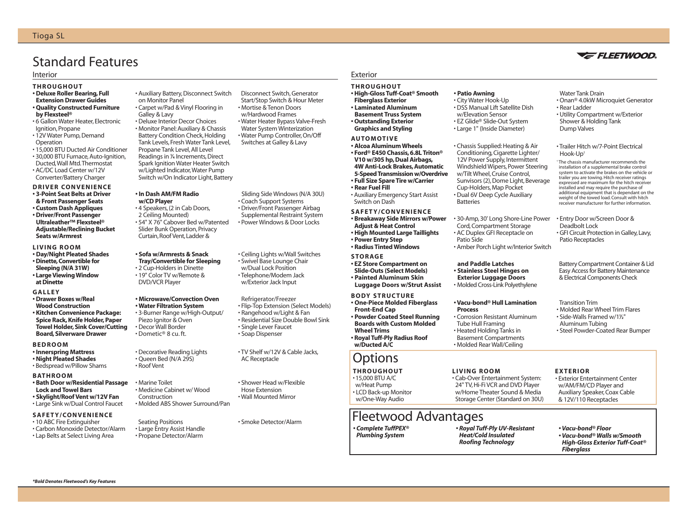# Standard Features

### Interior Exterior

- **THROUGHOUT**
- **Deluxe Roller Bearing, Full Extension Drawer Guides • Quality Constructed Furniture**
- **by Flexsteel®**
- 6 Gallon Water Heater, Electronic Ignition, Propane
- 12V Water Pump, Demand Operation
- 15,000 BTU Ducted Air Conditioner
- 30,000 BTU Furnace, Auto-Ignition, Ducted,Wall Mtd.Thermostat
- AC/DC Load Center w/12V Converter/Battery Charger

## **DRIVER CONVENIENCE**

- **3-Point Seat Belts at Driver**
- **& Front Passenger Seats**
- **Custom Dash Appliques**
- **Driver/Front Passenger Ultraleather™ Flexsteel® Adjustable/Reclining Bucket Seats w/Armrest**

### **LIVING ROOM**

- **Day/Night Pleated Shades**
- **Dinette,Convertible for Sleeping (N/A 31W) • Large Viewing Window at Dinette**

## **GALLEY**

- **Drawer Boxes w/Real Wood Construction**
- **Kitchen Convenience Package: Spice Rack, Knife Holder, Paper Towel Holder, Sink Cover/Cutting Board, Silverware Drawer**

### **BEDROOM**

- **Innerspring Mattress**
- **Night Pleated Shades**
- Bedspread w/Pillow Shams

## **BATHROOM**

- **Bath Door w/Residential Passage Lock and Towel Bars**
- **Skylight/Roof Vent w/12V Fan**
- Large Sink w/Dual Control Faucet

## **SAFETY/CONVENIENCE**

- Carbon Monoxide Detector/Alarm
- Lap Belts at Select Living Area
- 

- 10 ABC Fire Extinguisher
- 

Battery Condition Check, Holding Tank Levels, Fresh Water Tank Level, Propane Tank Level, All Level Readings in **<sup>1</sup> ⁄4** Increments, Direct Spark Ignition Water Heater Switch w/Lighted Indicator,Water Pump Switch w/On Indicator Light, Battery **• In Dash AM/FM Radio w/CD Player**

# • 4 Speakers, (2 in Cab Doors,

on Monitor Panel

Galley & Lavy

2 Ceiling Mounted) • 54" X 76" Cabover Bed w/Patented Slider Bunk Operation, Privacy Curtain,Roof Vent,Ladder &

• Auxiliary Battery, Disconnect Switch

• Carpet w/Pad & Vinyl Flooring in

• Deluxe Interior Decor Choices • Monitor Panel: Auxiliary & Chassis

### **• Sofa w/Armrests & Snack Tray/Convertible for Sleeping**

• 2 Cup-Holders in Dinette • 19" Color TV w/Remote & DVD/VCR Player

## **• Microwave/Convection Oven**

**• Water Filtration System** • 3-Burner Range w/High-Output/ Piezo Ignitor & Oven • Decor Wall Border • Dometic® 8 cu. ft.

## • Decorative Reading Lights • Queen Bed (N/A 29S)

- Roof Vent
- Marine Toilet • Medicine Cabinet w/ Wood Construction • Molded ABS Shower Surround/Pan

Seating Positions • Large Entry Assist Handle • Propane Detector/Alarm

Disconnect Switch, Generator Start/Stop Switch & Hour Meter • Mortise & Tenon Doors w/Hardwood Frames • Water Heater Bypass Valve-Fresh Water System Winterization • Water Pump Controller, On/Off Switches at Galley & Lavy

Sliding Side Windows(N/A 30U) • Coach Support Systems • Driver/Front Passenger Airbag Supplemental Restraint System • Power Windows & Door Locks

• Ceiling Lights w/Wall Switches • Swivel Base Lounge Chair w/Dual Lock Position • Telephone/Modem Jack w/Exterior Jack Input

Refrigerator/Freezer • Flip-Top Extension (Select Models) • Rangehood w/Light & Fan • Residential Size Double Bowl Sink • Single Lever Faucet • Soap Dispenser

• TV Shelf w/12V & Cable Jacks, AC Receptacle

• Shower Head w/Flexible Hose Extension • Wall Mounted Mirror

• Smoke Detector/Alarm

### **THROUGHOUT • High-Gloss Tuff-Coat® Smooth Fiberglass Exterior • Laminated Aluminum Basement Truss System • Outstanding Exterior Graphics and Styling**

## **AUTOMOTIVE**

**• Alcoa Aluminum Wheels • Ford® E450 Chassis, 6.8L Triton® V10 w/305 hp, Dual Airbags, 4W Anti-Lock Brakes, Automatic 5-Speed Transmission w/Overdrive • Full Size Spare Tire w/Carrier • Rear Fuel Fill**

• Auxiliary Emergency Start Assist Switch on Dash

## **SAFETY/CONVENIENCE**

**• Breakaway Side Mirrors w/Power Adjust & Heat Control • High Mounted Large Taillights • Power Entry Step**

## **• Radius Tinted Windows**

- **STORAGE • EZ Store Compartment on Slide-Outs (Select Models) • Painted Aluminum Skin**
- **One-Piece Molded Fiberglass Front-End Cap • Powder Coated Steel Running Boards with Custom Molded Wheel Trims • Royal Tuff-Ply Radius Roof w/Ducted A/C**

# **Options**

**THROUGHOUT**  • 15,000 BTU A/C w/Heat Pump • LCD Back-up Monitor w/One-Way Audio

# Fleetwood Advantages

*• Complete TuffPEX® Plumbing System*

*• Royal Tuff-Ply UV-Resistant Heat/Cold Insulated Roofing Technology*

• Cab-Over Entertainment System: 24" TV, Hi-Fi VCR and DVD Player w/Home Theater Sound & Media Storage Center (Standard on 30U)

• 30-Amp, 30' Long Shore-Line Power Cord, Compartment Storage • AC Duplex GFI Receptacle on

• Chassis Supplied: Heating & Air Conditioning, Cigarette Lighter/ 12V Power Supply, Intermittent Windshield Wipers, Power Steering w/Tilt Wheel, Cruise Control, Sunvisors (2), Dome Light, Beverage Cup-Holders, Map Pocket • Dual 6V Deep Cycle Auxiliary

• Amber Porch Light w/Interior Switch

**and Paddle Latches • Stainless Steel Hinges on Exterior Luggage Doors**

• Molded Rear Wall/Ceiling

**LIVING ROOM**

Patio Side

Batteries

**• Patio Awning** • City Water Hook-Up • DSS Manual Lift Satellite Dish w/Elevation Sensor • EZ Glide® Slide-Out System • Large 1" (Inside Diameter)

## Water Tank Drain

- Onan® 4.0kW Microquiet Generator • Rear Ladder
- Utility Compartment w/Exterior Shower & Holding Tank Dump Valves

## • Trailer Hitch w/7-Point Electrical Hook-Up†

† The chassis manufacturer recommends the installation of a supplemental brake control system to activate the brakes on the vehicle or trailer you are towing. Hitch receiver ratings expressed are maximum for the hitch receiver installed and may require the purchase of additional equipment that is dependant on the weight of the towed load. Consult with hitch receiver manufacturer for further information.

• Entry Door w/Screen Door & Deadbolt Lock • GFI Circuit Protection in Galley,Lavy, Patio Receptacles

Battery Compartment Container & Lid Easy Access for Battery Maintenance & Electrical Components Check

- Transition Trim
- Molded Rear Wheel Trim Flares • Side-Walls Framed w/1**<sup>1</sup> ⁄2**"
- Aluminum Tubing
- Steel Powder-Coated Rear Bumper

## **EXTERIOR**

• Exterior Entertainment Center w/AM/FM/CD Player and Auxiliary Speaker, Coax Cable & 12V/110 Receptacles

- *Vacu-bond® Floor • Vacu-bond® Walls w/Smooth High-Gloss Exterior Tuff-Coat®*
- *Fiberglass*

## • Molded Cross-Link Polyethylene **• Vacu-bond® Hull Lamination Process** • Corrosion Resistant Aluminum Tube Hull Framing • Heated Holding Tanks in Basement Compartments

- 
- 

# **Luggage Doors w/Strut Assist BODY STRUCTURE**

## **VE FLEETWOOD**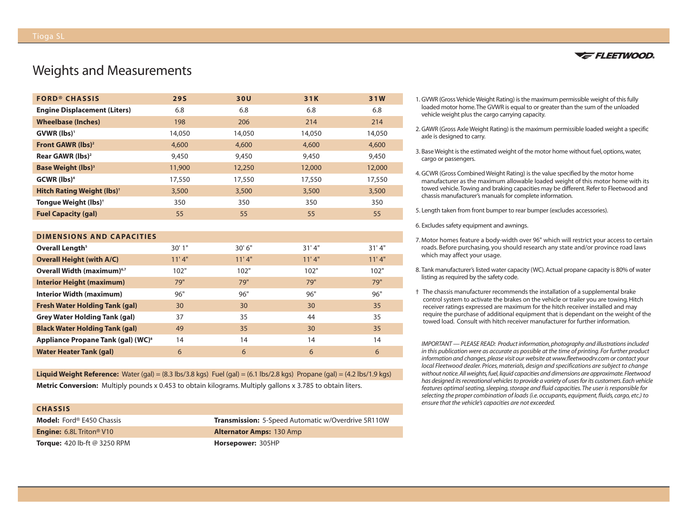## Weights and Measurements

| <b>FORD® CHASSIS</b>                         | <b>29S</b> | 30U    | 31K    | 31W    |
|----------------------------------------------|------------|--------|--------|--------|
| <b>Engine Displacement (Liters)</b>          | 6.8        | 6.8    | 6.8    | 6.8    |
| <b>Wheelbase (Inches)</b>                    | 198        | 206    | 214    | 214    |
| GVWR (lbs) <sup>1</sup>                      | 14,050     | 14,050 | 14,050 | 14,050 |
| <b>Front GAWR (lbs)<sup>2</sup></b>          | 4,600      | 4,600  | 4,600  | 4,600  |
| Rear GAWR $(lbs)^2$                          | 9,450      | 9,450  | 9,450  | 9,450  |
| <b>Base Weight (lbs)</b> <sup>3</sup>        | 11,900     | 12,250 | 12,000 | 12,000 |
| $GCWR$ (lbs) <sup>4</sup>                    | 17,550     | 17,550 | 17,550 | 17,550 |
| <b>Hitch Rating Weight (lbs)<sup>+</sup></b> | 3,500      | 3,500  | 3,500  | 3,500  |
| Tongue Weight (lbs) <sup>+</sup>             | 350        | 350    | 350    | 350    |
| <b>Fuel Capacity (gal)</b>                   | 55         | 55     | 55     | 55     |

## **DIMENSIONS AND CAPACITIES**

| Overall Length <sup>5</sup>                    | 30'1" | 30'6'' | 31'4" | 31'4" |
|------------------------------------------------|-------|--------|-------|-------|
| <b>Overall Height (with A/C)</b>               | 11'4" | 11'4"  | 11'4" | 11'4" |
| Overall Width (maximum) <sup>6,7</sup>         | 102"  | 102"   | 102"  | 102"  |
| <b>Interior Height (maximum)</b>               | 79"   | 79"    | 79"   | 79"   |
| Interior Width (maximum)                       | 96"   | 96"    | 96"   | 96"   |
| <b>Fresh Water Holding Tank (gal)</b>          | 30    | 30     | 30    | 35    |
| <b>Grey Water Holding Tank (gal)</b>           | 37    | 35     | 44    | 35    |
| <b>Black Water Holding Tank (gal)</b>          | 49    | 35     | 30    | 35    |
| Appliance Propane Tank (gal) (WC) <sup>8</sup> | 14    | 14     | 14    | 14    |
| <b>Water Heater Tank (gal)</b>                 | 6     | 6      | 6     | 6     |

**Liquid Weight Reference:** Water (gal) = (8.3 lbs/3.8 kgs) Fuel (gal) = (6.1 lbs/2.8 kgs) Propane (gal) = (4.2 lbs/1.9 kgs) **Metric Conversion:** Multiply pounds x 0.453 to obtain kilograms. Multiply gallons x 3.785 to obtain liters.

| <b>CHASSIS</b>                              |                                                           |
|---------------------------------------------|-----------------------------------------------------------|
| <b>Model:</b> Ford® E450 Chassis            | <b>Transmission:</b> 5-Speed Automatic w/Overdrive 5R110W |
| <b>Engine:</b> 6.8L Triton <sup>®</sup> V10 | <b>Alternator Amps: 130 Amp</b>                           |
| <b>Torque:</b> 420 lb-ft $@$ 3250 RPM       | Horsepower: 305HP                                         |



- 1. GVWR (Gross Vehicle Weight Rating) is the maximum permissible weight of this fully loaded motor home.The GVWR is equal to or greater than the sum of the unloaded vehicle weight plus the cargo carrying capacity.
- 2. GAWR (Gross Axle Weight Rating) is the maximum permissible loaded weight a specific axle is designed to carry.
- 3. Base Weight is the estimated weight of the motor home without fuel, options, water, cargo or passengers.
- 4. GCWR (Gross Combined Weight Rating) is the value specified by the motor home manufacturer as the maximum allowable loaded weight of this motor home with its towed vehicle.Towing and braking capacities may be different. Refer to Fleetwood and chassis manufacturer's manuals for complete information.
- 5. Length taken from front bumper to rear bumper (excludes accessories).

6. Excludes safety equipment and awnings.

- 7. Motor homes feature a body-width over 96" which will restrict your access to certain roads. Before purchasing, you should research any state and/or province road laws which may affect your usage.
- 8. Tank manufacturer's listed water capacity (WC). Actual propane capacity is 80% of water listing as required by the safety code.
- † The chassis manufacturer recommends the installation of a supplemental brake control system to activate the brakes on the vehicle or trailer you are towing. Hitch receiver ratings expressed are maximum for the hitch receiver installed and may require the purchase of additional equipment that is dependant on the weight of the towed load. Consult with hitch receiver manufacturer for further information.

*IMPORTANT — PLEASE READ: Product information, photography and illustrations included in this publication were as accurate as possible at the time of printing. For further product information and changes, please visit our website at www.fleetwoodrv.com or contact your local Fleetwood dealer. Prices, materials, design and specifications are subject to change without notice.All weights, fuel, liquid capacities and dimensions are approximate.Fleetwood has designed its recreational vehicles to provide a variety of uses for its customers.Each vehicle features optimal seating, sleeping, storage and fluid capacities.The user is responsible for selecting the proper combination of loads (i.e. occupants, equipment, fluids, cargo, etc.) to ensure that the vehicle's capacities are not exceeded.*